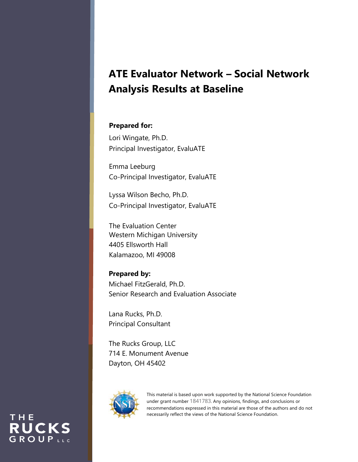# **ATE Evaluator Network – Social Network Analysis Results at Baseline**

#### **Prepared for:**

Lori Wingate, Ph.D. Principal Investigator, EvaluATE

Emma Leeburg Co-Principal Investigator, EvaluATE

Lyssa Wilson Becho, Ph.D. Co-Principal Investigator, EvaluATE

The Evaluation Center Western Michigan University 4405 Ellsworth Hall Kalamazoo, MI 49008

#### **Prepared by:**

Michael FitzGerald, Ph.D. Senior Research and Evaluation Associate

Lana Rucks, Ph.D. Principal Consultant

The Rucks Group, LLC 714 E. Monument Avenue Dayton, OH 45402



THE

**RUCKS** GROUPLLC

This material is based upon work supported by the National Science Foundation under grant number 1841783. Any opinions, findings, and conclusions or recommendations expressed in this material are those of the authors and do not necessarily reflect the views of the National Science Foundation.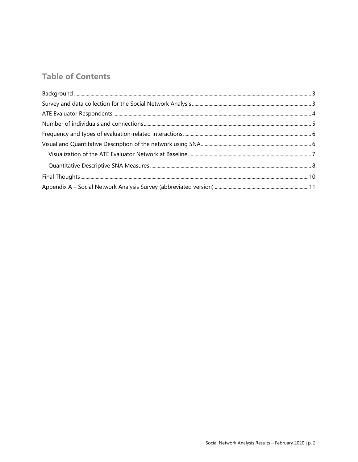## **Table of Contents**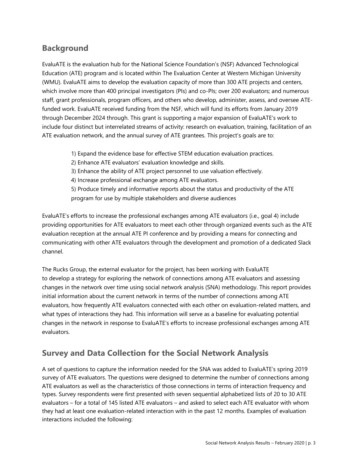## **Background**

EvaluATE is the evaluation hub for the National Science Foundation's (NSF) Advanced Technological Education (ATE) program and is located within The Evaluation Center at Western Michigan University (WMU). EvaluATE aims to develop the evaluation capacity of more than 300 ATE projects and centers, which involve more than 400 principal investigators (PIs) and co-PIs; over 200 evaluators; and numerous staff, grant professionals, program officers, and others who develop, administer, assess, and oversee ATEfunded work. EvaluATE received funding from the NSF, which will fund its efforts from January 2019 through December 2024 through. This grant is supporting a major expansion of EvaluATE's work to include four distinct but interrelated streams of activity: research on evaluation, training, facilitation of an ATE evaluation network, and the annual survey of ATE grantees. This project's goals are to:

- 1) Expand the evidence base for effective STEM education evaluation practices.
- 2) Enhance ATE evaluators' evaluation knowledge and skills.
- 3) Enhance the ability of ATE project personnel to use valuation effectively.
- 4) Increase professional exchange among ATE evaluators.
- 5) Produce timely and informative reports about the status and productivity of the ATE program for use by multiple stakeholders and diverse audiences

EvaluATE's efforts to increase the professional exchanges among ATE evaluators (i.e., goal 4) include providing opportunities for ATE evaluators to meet each other through organized events such as the ATE evaluation reception at the annual ATE PI conference and by providing a means for connecting and communicating with other ATE evaluators through the development and promotion of a dedicated Slack channel.

The Rucks Group, the external evaluator for the project, has been working with EvaluATE to develop a strategy for exploring the network of connections among ATE evaluators and assessing changes in the network over time using social network analysis (SNA) methodology. This report provides initial information about the current network in terms of the number of connections among ATE evaluators, how frequently ATE evaluators connected with each other on evaluation-related matters, and what types of interactions they had. This information will serve as a baseline for evaluating potential changes in the network in response to EvaluATE's efforts to increase professional exchanges among ATE evaluators.

### **Survey and Data Collection for the Social Network Analysis**

A set of questions to capture the information needed for the SNA was added to EvaluATE's spring 2019 survey of ATE evaluators. The questions were designed to determine the number of connections among ATE evaluators as well as the characteristics of those connections in terms of interaction frequency and types. Survey respondents were first presented with seven sequential alphabetized lists of 20 to 30 ATE evaluators – for a total of 145 listed ATE evaluators – and asked to select each ATE evaluator with whom they had at least one evaluation-related interaction with in the past 12 months. Examples of evaluation interactions included the following: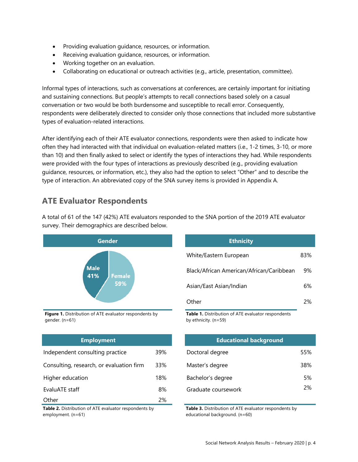- Providing evaluation guidance, resources, or information.
- Receiving evaluation guidance, resources, or information.
- Working together on an evaluation.
- Collaborating on educational or outreach activities (e.g., article, presentation, committee).

Informal types of interactions, such as conversations at conferences, are certainly important for initiating and sustaining connections. But people's attempts to recall connections based solely on a casual conversation or two would be both burdensome and susceptible to recall error. Consequently, respondents were deliberately directed to consider only those connections that included more substantive types of evaluation-related interactions.

After identifying each of their ATE evaluator connections, respondents were then asked to indicate how often they had interacted with that individual on evaluation-related matters (i.e., 1-2 times, 3-10, or more than 10) and then finally asked to select or identify the types of interactions they had. While respondents were provided with the four types of interactions as previously described (e.g., providing evaluation guidance, resources, or information, etc.), they also had the option to select "Other" and to describe the type of interaction. An abbreviated copy of the SNA survey items is provided in Appendix A.

#### **ATE Evaluator Respondents**



A total of 61 of the 147 (42%) ATE evaluators responded to the SNA portion of the 2019 ATE evaluator survey. Their demographics are described below.

**Figure 1.** Distribution of ATE evaluator respondents by gender. (n=61)

| <b>Employment</b>                        |     | <b>Educational background</b> |     |
|------------------------------------------|-----|-------------------------------|-----|
| Independent consulting practice          | 39% | Doctoral degree               | 55% |
| Consulting, research, or evaluation firm | 33% | Master's degree               | 38% |
| Higher education                         | 18% | Bachelor's degree             | 5%  |
| EvaluATE staff                           | 8%  | Graduate coursework           | 2%  |
| Other                                    | 2%  |                               |     |

**Table 2.** Distribution of ATE evaluator respondents by employment. (n=61)

| <b>Ethnicity</b>                         |     |
|------------------------------------------|-----|
| White/Eastern European                   | 83% |
| Black/African American/African/Caribbean | 9%  |
| Asian/East Asian/Indian                  | 6%  |
| Other                                    | 2%  |

**Table 1.** Distribution of ATE evaluator respondents by ethnicity. (n=59)

| <b>Employment</b>         |     | <b>Educational background</b> |     |
|---------------------------|-----|-------------------------------|-----|
| onsulting practice        | 39% | Doctoral degree               | 55% |
| earch, or evaluation firm | 33% | Master's degree               | 38% |
| on                        | 18% | Bachelor's degree             | 5%  |
|                           | 8%  | Graduate coursework           | 2%  |

**Table 3.** Distribution of ATE evaluator respondents by educational background. (n=60)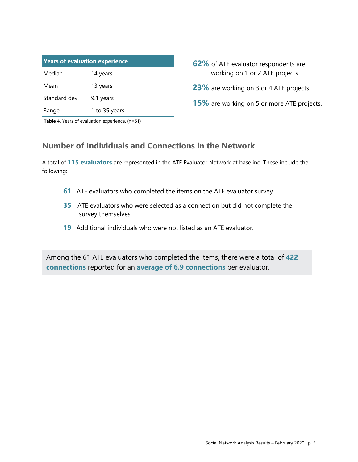| <b>Years of evaluation experience</b> |               |  |  |  |
|---------------------------------------|---------------|--|--|--|
| Median                                | 14 years      |  |  |  |
| Mean                                  | 13 years      |  |  |  |
| Standard dev.                         | 9.1 years     |  |  |  |
| Range                                 | 1 to 35 years |  |  |  |

- **62%** of ATE evaluator respondents are working on 1 or 2 ATE projects.
- **23%** are working on 3 or 4 ATE projects.
- **15%** are working on 5 or more ATE projects.

**Table 4.** Years of evaluation experience. (n=61)

### **Number of Individuals and Connections in the Network**

A total of **115 evaluators** are represented in the ATE Evaluator Network at baseline. These include the following:

- **61** ATE evaluators who completed the items on the ATE evaluator survey
- **35** ATE evaluators who were selected as a connection but did not complete the survey themselves
- **19** Additional individuals who were not listed as an ATE evaluator.

Among the 61 ATE evaluators who completed the items, there were a total of **422 connections** reported for an **average of 6.9 connections** per evaluator.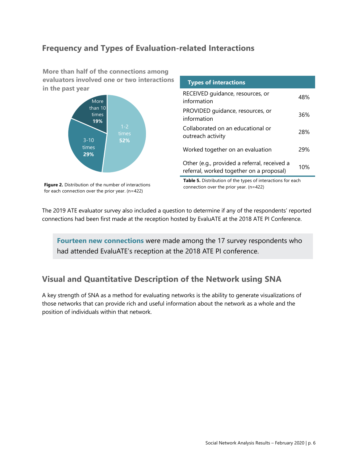## **Frequency and Types of Evaluation-related Interactions**

**More than half of the connections among evaluators involved one or two interactions in the past year**



| information       | PROVIDED quidance, resources, or                                                         | 36% |
|-------------------|------------------------------------------------------------------------------------------|-----|
| outreach activity | Collaborated on an educational or                                                        | 28% |
|                   | Worked together on an evaluation                                                         | 29% |
|                   | Other (e.g., provided a referral, received a<br>referral, worked together on a proposal) | 10% |

**Types of interactions**

RECEIVED guidance, resources, or

**Figure 2.** Distribution of the number of interactions for each connection over the prior year. (n=422)

**Table 5.** Distribution of the types of interactions for each connection over the prior year. (n=422)

information distribution and the sources, or the theorem and the 48%

The 2019 ATE evaluator survey also included a question to determine if any of the respondents' reported connections had been first made at the reception hosted by EvaluATE at the 2018 ATE PI Conference.

**Fourteen new connections** were made among the 17 survey respondents who had attended EvaluATE's reception at the 2018 ATE PI conference.

### **Visual and Quantitative Description of the Network using SNA**

A key strength of SNA as a method for evaluating networks is the ability to generate visualizations of those networks that can provide rich and useful information about the network as a whole and the position of individuals within that network.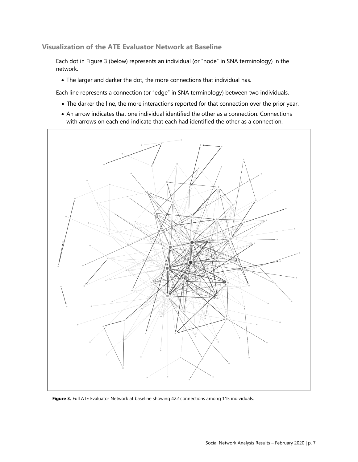**Visualization of the ATE Evaluator Network at Baseline**

Each dot in Figure 3 (below) represents an individual (or "node" in SNA terminology) in the network.

• The larger and darker the dot, the more connections that individual has.

Each line represents a connection (or "edge" in SNA terminology) between two individuals.

- The darker the line, the more interactions reported for that connection over the prior year.
- An arrow indicates that one individual identified the other as a connection. Connections with arrows on each end indicate that each had identified the other as a connection.



**Figure 3.** Full ATE Evaluator Network at baseline showing 422 connections among 115 individuals.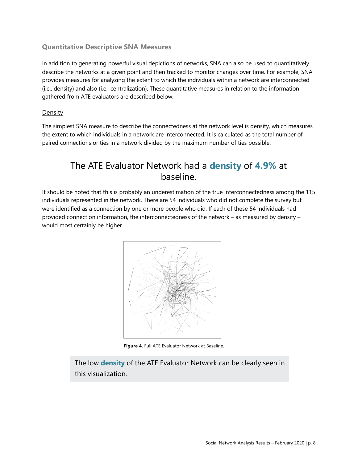#### **Quantitative Descriptive SNA Measures**

In addition to generating powerful visual depictions of networks, SNA can also be used to quantitatively describe the networks at a given point and then tracked to monitor changes over time. For example, SNA provides measures for analyzing the extent to which the individuals within a network are interconnected (i.e., density) and also (i.e., centralization). These quantitative measures in relation to the information gathered from ATE evaluators are described below.

#### **Density**

The simplest SNA measure to describe the connectedness at the network level is density, which measures the extent to which individuals in a network are interconnected. It is calculated as the total number of paired connections or ties in a network divided by the maximum number of ties possible.

## The ATE Evaluator Network had a **density** of **4.9%** at baseline.

It should be noted that this is probably an underestimation of the true interconnectedness among the 115 individuals represented in the network. There are 54 individuals who did not complete the survey but were identified as a connection by one or more people who did. If each of these 54 individuals had provided connection information, the interconnectedness of the network – as measured by density – would most certainly be higher.



**Figure 4.** Full ATE Evaluator Network at Baseline.

The low **density** of the ATE Evaluator Network can be clearly seen in this visualization.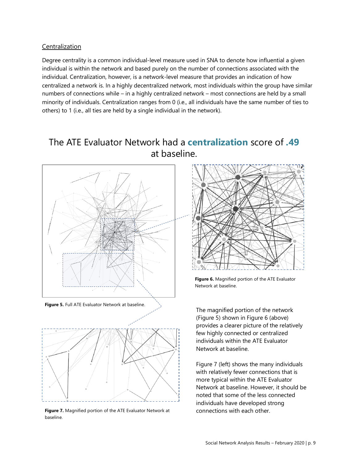#### Centralization

Degree centrality is a common individual-level measure used in SNA to denote how influential a given individual is within the network and based purely on the number of connections associated with the individual. Centralization, however, is a network-level measure that provides an indication of how centralized a network is. In a highly decentralized network, most individuals within the group have similar numbers of connections while – in a highly centralized network – most connections are held by a small minority of individuals. Centralization ranges from 0 (i.e., all individuals have the same number of ties to others) to 1 (i.e., all ties are held by a single individual in the network).

## The ATE Evaluator Network had a **centralization** score of **.49**  at baseline.





**Figure 7.** Magnified portion of the ATE Evaluator Network at baseline.



**Figure 6.** Magnified portion of the ATE Evaluator Network at baseline.

The magnified portion of the network (Figure 5) shown in Figure 6 (above) provides a clearer picture of the relatively few highly connected or centralized individuals within the ATE Evaluator Network at baseline.

Figure 7 (left) shows the many individuals with relatively fewer connections that is more typical within the ATE Evaluator Network at baseline. However, it should be noted that some of the less connected individuals have developed strong connections with each other.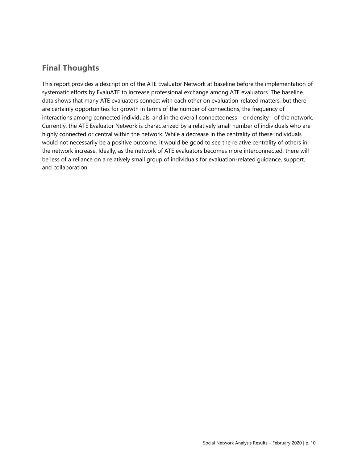### **Final Thoughts**

This report provides a description of the ATE Evaluator Network at baseline before the implementation of systematic efforts by EvaluATE to increase professional exchange among ATE evaluators. The baseline data shows that many ATE evaluators connect with each other on evaluation-related matters, but there are certainly opportunities for growth in terms of the number of connections, the frequency of interactions among connected individuals, and in the overall connectedness – or density - of the network. Currently, the ATE Evaluator Network is characterized by a relatively small number of individuals who are highly connected or central within the network. While a decrease in the centrality of these individuals would not necessarily be a positive outcome, it would be good to see the relative centrality of others in the network increase. Ideally, as the network of ATE evaluators becomes more interconnected, there will be less of a reliance on a relatively small group of individuals for evaluation-related guidance, support, and collaboration.